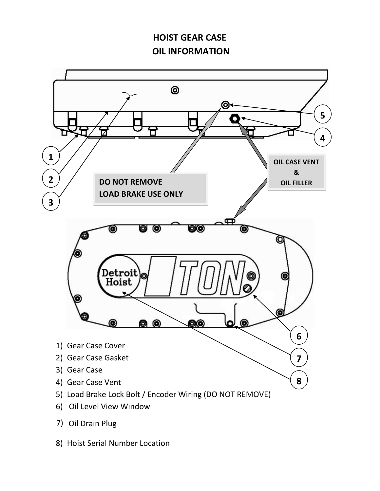#### **HOIST GEAR CASE OIL INFORMATION**



- 7) Oil Drain Plug
- 8) Hoist Serial Number Location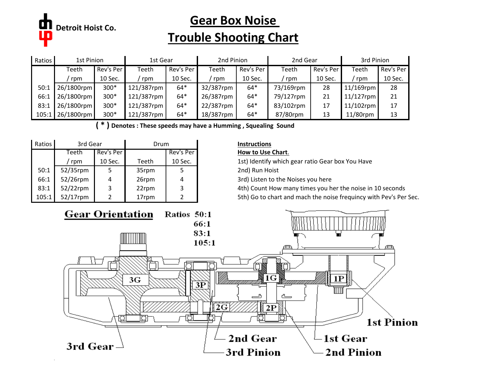

## **Detroit Hoist Co. Gear Box Noise**

### **Trouble Shooting Chart**

| Ratios | 1st Pinion       |           | 1st Gear   |           | 2nd Pinion |           | 2nd Gear  |           | 3rd Pinion   |           |
|--------|------------------|-----------|------------|-----------|------------|-----------|-----------|-----------|--------------|-----------|
|        | Teeth            | Rev's Per | Teeth      | Rev's Per | Teeth      | Rev's Per | Teeth     | Rev's Per | Teeth        | Rev's Per |
|        | rpm              | 10 Sec.   | rpm        | 10 Sec.   | rpm        | 10 Sec.   | rpm       | 10 Sec.   | rpm          | 10 Sec.   |
| 50:1   | 26/1800rpm       | 300*      | 121/387rpm | $64*$     | 32/387rpm  | $64*$     | 73/169rpm | 28        | $11/169$ rpm | 28        |
| 66:1   | 26/1800rpm       | 300*      | 121/387rpm | $64*$     | 26/387rpm  | $64*$     | 79/127rpm | 21        | $11/127$ rpm | 21        |
| 83:1   | 26/1800rpm       | 300*      | 121/387rpm | $64*$     | 22/387rpm  | $64*$     | 83/102rpm | 17        | $11/102$ rpm | 17        |
|        | 105:1 26/1800rpm | 300*      | 121/387rpm | $64*$     | 18/387rpm  | $64*$     | 87/80rpm  | 13        | 11/80rpm     | 13        |

**( \* ) Denotes : These speeds may have a Humming , Squealing Sound**

| Ratios<br>3rd Gear |          |           | Drum  |           |  |
|--------------------|----------|-----------|-------|-----------|--|
|                    | Teeth    | Rev's Per |       | Rev's Per |  |
|                    | rpm      | 10 Sec.   | Teeth | 10 Sec.   |  |
| 50:1               | 52/35rpm | 5         | 35rpm |           |  |
| 66:1               | 52/26rpm | 4         | 26rpm | 4         |  |
| 83:1               | 52/22rpm | 3         | 22rpm | 3         |  |
| 105:1              | 52/17rpm |           | 17rpm |           |  |

#### **Instructions**

#### **How to Use Chart**.

1st) Identify which gear ratio Gear box You Have

2nd) Run Hoist

3rd) Listen to the Noises you here

4th) Count How many times you her the noise in 10 seconds

5th) Go to chart and mach the noise frequincy with Pev's Per Sec.

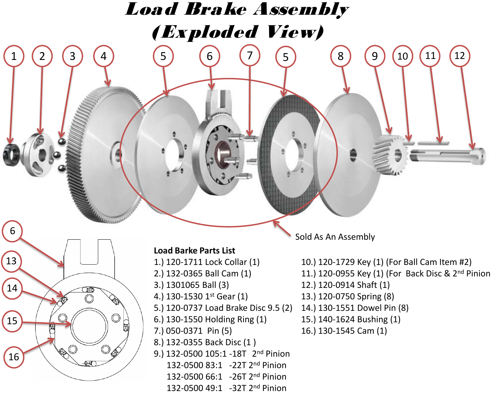# 13 14  $(15)$ 16 6

#### **Load Barke Parts List**

- 
- 
- 
- 
- 5.) 120-0737 Load Brake Disc 9.5 (2) 14.) 130-1551 Dowel Pin (8)

Load Brake Assembly

(Exploded View)

1  $(2) (3) (4)$   $(5) (6) (7) (5)$   $(8) (9) (10) (11) (12)$ 

7

- 6.) 130-1550 Holding Ring (1) 15.) 140-1624 Bushing (1)
- 
- 8.) 132-0355 Back Disc (1 )
- 9.) 132-0500 105:1 -18T 2<sup>nd</sup> Pinion
	- 132-0500 83:1 -22T 2nd Pinion
	- 132-0500 66:1 -26T 2nd Pinion
	- 132-0500 49:1 -32T 2nd Pinion
- Sold As An Assembly
- 1.) 120-1711 Lock Collar (1) 10.) 120-1729 Key (1) (For Ball Cam Item #2)
- 2.) 132-0365 Ball Cam (1) 11.) 120-0955 Key (1) (For Back Disc & 2<sup>nd</sup> Pinion
- 3.) 1301065 Ball (3) 12.) 120-0914 Shaft (1)
- 4.) 130-1530 1st Gear (1) 13.) 120-0750 Spring (8)
	-
	-
- 7.) 050-0371 Pin (5) 16.) 130-1545 Cam (1)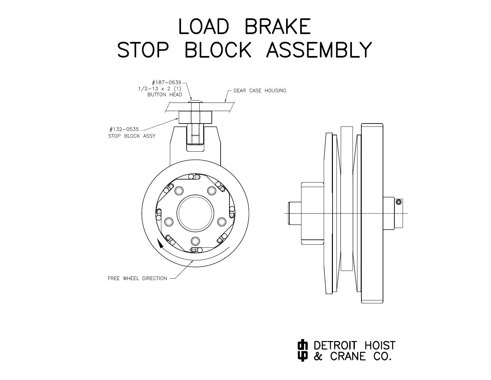## LOAD BRAKE STOP BLOCK ASSEMBLY



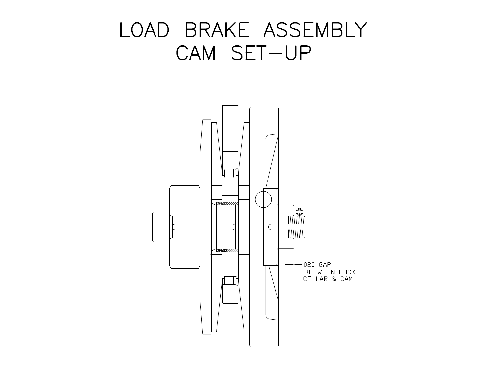## LOAD BRAKE ASSEMBLY CAM SET-UP